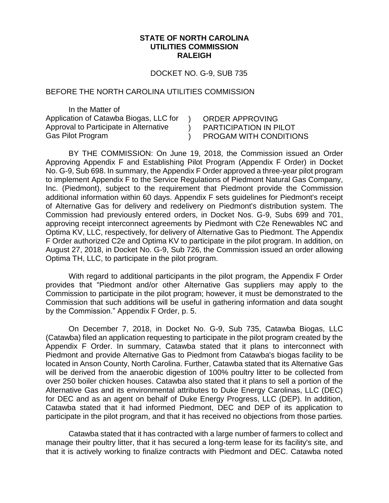## **STATE OF NORTH CAROLINA UTILITIES COMMISSION RALEIGH**

DOCKET NO. G-9, SUB 735

 $\mathcal{L}$  $\lambda$  $\left( \right)$ 

## BEFORE THE NORTH CAROLINA UTILITIES COMMISSION

In the Matter of Application of Catawba Biogas, LLC for Approval to Participate in Alternative Gas Pilot Program

ORDER APPROVING PARTICIPATION IN PILOT PROGAM WITH CONDITIONS

BY THE COMMISSION: On June 19, 2018, the Commission issued an Order Approving Appendix F and Establishing Pilot Program (Appendix F Order) in Docket No. G-9, Sub 698. In summary, the Appendix F Order approved a three-year pilot program to implement Appendix F to the Service Regulations of Piedmont Natural Gas Company, Inc. (Piedmont), subject to the requirement that Piedmont provide the Commission additional information within 60 days. Appendix F sets guidelines for Piedmont's receipt of Alternative Gas for delivery and redelivery on Piedmont's distribution system. The Commission had previously entered orders, in Docket Nos. G-9, Subs 699 and 701, approving receipt interconnect agreements by Piedmont with C2e Renewables NC and Optima KV, LLC, respectively, for delivery of Alternative Gas to Piedmont. The Appendix F Order authorized C2e and Optima KV to participate in the pilot program. In addition, on August 27, 2018, in Docket No. G-9, Sub 726, the Commission issued an order allowing Optima TH, LLC, to participate in the pilot program.

With regard to additional participants in the pilot program, the Appendix F Order provides that "Piedmont and/or other Alternative Gas suppliers may apply to the Commission to participate in the pilot program; however, it must be demonstrated to the Commission that such additions will be useful in gathering information and data sought by the Commission." Appendix F Order, p. 5.

On December 7, 2018, in Docket No. G-9, Sub 735, Catawba Biogas, LLC (Catawba) filed an application requesting to participate in the pilot program created by the Appendix F Order. In summary, Catawba stated that it plans to interconnect with Piedmont and provide Alternative Gas to Piedmont from Catawba's biogas facility to be located in Anson County, North Carolina. Further, Catawba stated that its Alternative Gas will be derived from the anaerobic digestion of 100% poultry litter to be collected from over 250 boiler chicken houses. Catawba also stated that it plans to sell a portion of the Alternative Gas and its environmental attributes to Duke Energy Carolinas, LLC (DEC) for DEC and as an agent on behalf of Duke Energy Progress, LLC (DEP). In addition, Catawba stated that it had informed Piedmont, DEC and DEP of its application to participate in the pilot program, and that it has received no objections from those parties.

Catawba stated that it has contracted with a large number of farmers to collect and manage their poultry litter, that it has secured a long-term lease for its facility's site, and that it is actively working to finalize contracts with Piedmont and DEC. Catawba noted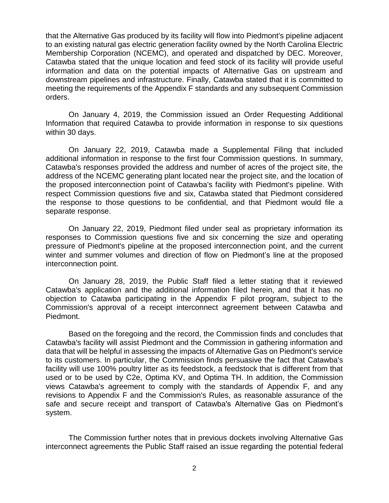that the Alternative Gas produced by its facility will flow into Piedmont's pipeline adjacent to an existing natural gas electric generation facility owned by the North Carolina Electric Membership Corporation (NCEMC), and operated and dispatched by DEC. Moreover, Catawba stated that the unique location and feed stock of its facility will provide useful information and data on the potential impacts of Alternative Gas on upstream and downstream pipelines and infrastructure. Finally, Catawba stated that it is committed to meeting the requirements of the Appendix F standards and any subsequent Commission orders.

On January 4, 2019, the Commission issued an Order Requesting Additional Information that required Catawba to provide information in response to six questions within 30 days.

On January 22, 2019, Catawba made a Supplemental Filing that included additional information in response to the first four Commission questions. In summary, Catawba's responses provided the address and number of acres of the project site, the address of the NCEMC generating plant located near the project site, and the location of the proposed interconnection point of Catawba's facility with Piedmont's pipeline. With respect Commission questions five and six, Catawba stated that Piedmont considered the response to those questions to be confidential, and that Piedmont would file a separate response.

On January 22, 2019, Piedmont filed under seal as proprietary information its responses to Commission questions five and six concerning the size and operating pressure of Piedmont's pipeline at the proposed interconnection point, and the current winter and summer volumes and direction of flow on Piedmont's line at the proposed interconnection point.

On January 28, 2019, the Public Staff filed a letter stating that it reviewed Catawba's application and the additional information filed herein, and that it has no objection to Catawba participating in the Appendix F pilot program, subject to the Commission's approval of a receipt interconnect agreement between Catawba and Piedmont.

Based on the foregoing and the record, the Commission finds and concludes that Catawba's facility will assist Piedmont and the Commission in gathering information and data that will be helpful in assessing the impacts of Alternative Gas on Piedmont's service to its customers. In particular, the Commission finds persuasive the fact that Catawba's facility will use 100% poultry litter as its feedstock, a feedstock that is different from that used or to be used by C2e, Optima KV, and Optima TH. In addition, the Commission views Catawba's agreement to comply with the standards of Appendix F, and any revisions to Appendix F and the Commission's Rules, as reasonable assurance of the safe and secure receipt and transport of Catawba's Alternative Gas on Piedmont's system.

The Commission further notes that in previous dockets involving Alternative Gas interconnect agreements the Public Staff raised an issue regarding the potential federal